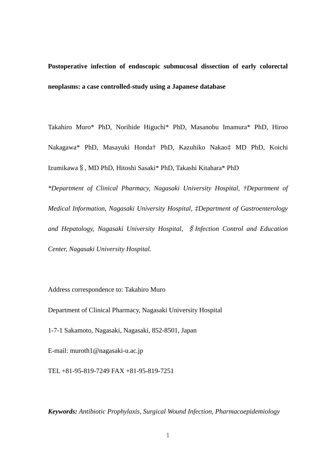**Postoperative infection of endoscopic submucosal dissection of early colorectal neoplasms: a case controlled-study using a Japanese database**

Takahiro Muro\* PhD, Norihide Higuchi\* PhD, Masanobu Imamura\* PhD, Hiroo Nakagawa\* PhD, Masayuki Honda† PhD, Kazuhiko Nakao‡ MD PhD, Koichi Izumikawa§, MD PhD, Hitoshi Sasaki\* PhD, Takashi Kitahara\* PhD

*\*Department of Clinical Pharmacy, Nagasaki University Hospital, †Department of Medical Information, Nagasaki University Hospital, ‡Department of Gastroenterology and Hepatology, Nagasaki University Hospital,* §*Infection Control and Education Center, Nagasaki University Hospital.*

Address correspondence to: Takahiro Muro

Department of Clinical Pharmacy, Nagasaki University Hospital

1-7-1 Sakamoto, Nagasaki, Nagasaki, 852-8501, Japan

E-mail: muroth1@nagasaki-u.ac.jp

TEL +81-95-819-7249 FAX +81-95-819-7251

*Keywords: Antibiotic Prophylaxis, Surgical Wound Infection, Pharmacoepidemiology*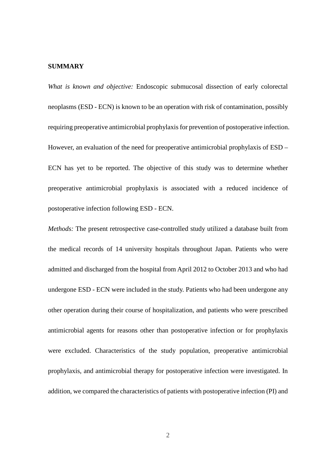# **SUMMARY**

*What is known and objective:* Endoscopic submucosal dissection of early colorectal neoplasms (ESD - ECN) is known to be an operation with risk of contamination, possibly requiring preoperative antimicrobial prophylaxis for prevention of postoperative infection. However, an evaluation of the need for preoperative antimicrobial prophylaxis of ESD – ECN has yet to be reported. The objective of this study was to determine whether preoperative antimicrobial prophylaxis is associated with a reduced incidence of postoperative infection following ESD - ECN.

*Methods:* The present retrospective case-controlled study utilized a database built from the medical records of 14 university hospitals throughout Japan. Patients who were admitted and discharged from the hospital from April 2012 to October 2013 and who had undergone ESD - ECN were included in the study. Patients who had been undergone any other operation during their course of hospitalization, and patients who were prescribed antimicrobial agents for reasons other than postoperative infection or for prophylaxis were excluded. Characteristics of the study population, preoperative antimicrobial prophylaxis, and antimicrobial therapy for postoperative infection were investigated. In addition, we compared the characteristics of patients with postoperative infection (PI) and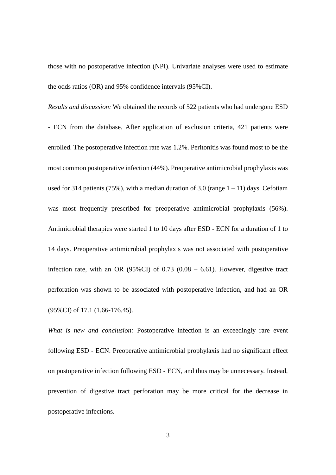those with no postoperative infection (NPI). Univariate analyses were used to estimate the odds ratios (OR) and 95% confidence intervals (95%CI).

*Results and discussion:* We obtained the records of 522 patients who had undergone ESD - ECN from the database. After application of exclusion criteria, 421 patients were enrolled. The postoperative infection rate was 1.2%. Peritonitis was found most to be the most common postoperative infection (44%). Preoperative antimicrobial prophylaxis was used for 314 patients (75%), with a median duration of 3.0 (range  $1 - 11$ ) days. Cefotiam was most frequently prescribed for preoperative antimicrobial prophylaxis (56%). Antimicrobial therapies were started 1 to 10 days after ESD - ECN for a duration of 1 to 14 days. Preoperative antimicrobial prophylaxis was not associated with postoperative infection rate, with an OR  $(95\%CI)$  of 0.73  $(0.08 - 6.61)$ . However, digestive tract perforation was shown to be associated with postoperative infection, and had an OR (95%CI) of 17.1 (1.66-176.45).

*What is new and conclusion:* Postoperative infection is an exceedingly rare event following ESD - ECN. Preoperative antimicrobial prophylaxis had no significant effect on postoperative infection following ESD - ECN, and thus may be unnecessary. Instead, prevention of digestive tract perforation may be more critical for the decrease in postoperative infections.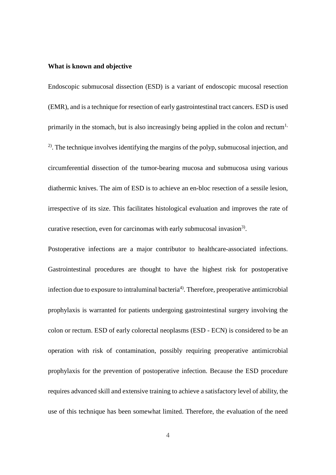## **What is known and objective**

Endoscopic submucosal dissection (ESD) is a variant of endoscopic mucosal resection (EMR), and is a technique for resection of early gastrointestinal tract cancers. ESD is used primarily in the stomach, but is also increasingly being applied in the colon and rectum<sup>1,</sup> <sup>2)</sup>. The technique involves identifying the margins of the polyp, submucosal injection, and circumferential dissection of the tumor-bearing mucosa and submucosa using various diathermic knives. The aim of ESD is to achieve an en-bloc resection of a sessile lesion, irrespective of its size. This facilitates histological evaluation and improves the rate of curative resection, even for carcinomas with early submucosal invasion<sup>3)</sup>.

Postoperative infections are a major contributor to healthcare-associated infections. Gastrointestinal procedures are thought to have the highest risk for postoperative infection due to exposure to intraluminal bacteria<sup>4)</sup>. Therefore, preoperative antimicrobial prophylaxis is warranted for patients undergoing gastrointestinal surgery involving the colon or rectum. ESD of early colorectal neoplasms (ESD - ECN) is considered to be an operation with risk of contamination, possibly requiring preoperative antimicrobial prophylaxis for the prevention of postoperative infection. Because the ESD procedure requires advanced skill and extensive training to achieve a satisfactory level of ability, the use of this technique has been somewhat limited. Therefore, the evaluation of the need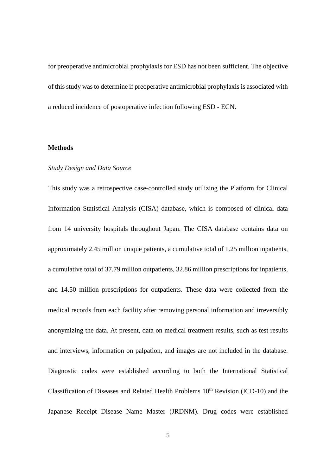for preoperative antimicrobial prophylaxis for ESD has not been sufficient. The objective of this study was to determine if preoperative antimicrobial prophylaxis is associated with a reduced incidence of postoperative infection following ESD - ECN.

#### **Methods**

## *Study Design and Data Source*

This study was a retrospective case-controlled study utilizing the Platform for Clinical Information Statistical Analysis (CISA) database, which is composed of clinical data from 14 university hospitals throughout Japan. The CISA database contains data on approximately 2.45 million unique patients, a cumulative total of 1.25 million inpatients, a cumulative total of 37.79 million outpatients, 32.86 million prescriptions for inpatients, and 14.50 million prescriptions for outpatients. These data were collected from the medical records from each facility after removing personal information and irreversibly anonymizing the data. At present, data on medical treatment results, such as test results and interviews, information on palpation, and images are not included in the database. Diagnostic codes were established according to both the International Statistical Classification of Diseases and Related Health Problems  $10<sup>th</sup>$  Revision (ICD-10) and the Japanese Receipt Disease Name Master (JRDNM). Drug codes were established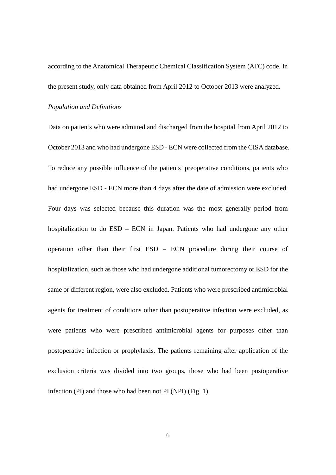according to the Anatomical Therapeutic Chemical Classification System (ATC) code. In the present study, only data obtained from April 2012 to October 2013 were analyzed.

#### *Population and Definitions*

Data on patients who were admitted and discharged from the hospital from April 2012 to October 2013 and who had undergone ESD - ECN were collected from the CISA database. To reduce any possible influence of the patients' preoperative conditions, patients who had undergone ESD - ECN more than 4 days after the date of admission were excluded. Four days was selected because this duration was the most generally period from hospitalization to do ESD – ECN in Japan. Patients who had undergone any other operation other than their first ESD – ECN procedure during their course of hospitalization, such as those who had undergone additional tumorectomy or ESD for the same or different region, were also excluded. Patients who were prescribed antimicrobial agents for treatment of conditions other than postoperative infection were excluded, as were patients who were prescribed antimicrobial agents for purposes other than postoperative infection or prophylaxis. The patients remaining after application of the exclusion criteria was divided into two groups, those who had been postoperative infection (PI) and those who had been not PI (NPI) (Fig. 1).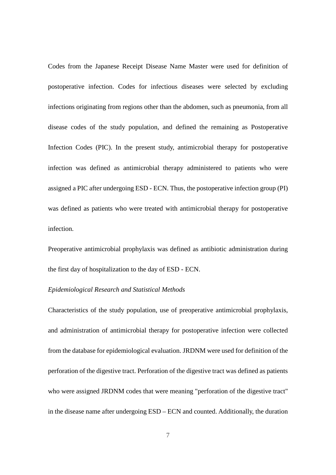Codes from the Japanese Receipt Disease Name Master were used for definition of postoperative infection. Codes for infectious diseases were selected by excluding infections originating from regions other than the abdomen, such as pneumonia, from all disease codes of the study population, and defined the remaining as Postoperative Infection Codes (PIC). In the present study, antimicrobial therapy for postoperative infection was defined as antimicrobial therapy administered to patients who were assigned a PIC after undergoing ESD - ECN. Thus, the postoperative infection group (PI) was defined as patients who were treated with antimicrobial therapy for postoperative infection.

Preoperative antimicrobial prophylaxis was defined as antibiotic administration during the first day of hospitalization to the day of ESD - ECN.

## *Epidemiological Research and Statistical Methods*

Characteristics of the study population, use of preoperative antimicrobial prophylaxis, and administration of antimicrobial therapy for postoperative infection were collected from the database for epidemiological evaluation. JRDNM were used for definition of the perforation of the digestive tract. Perforation of the digestive tract was defined as patients who were assigned JRDNM codes that were meaning "perforation of the digestive tract" in the disease name after undergoing ESD – ECN and counted. Additionally, the duration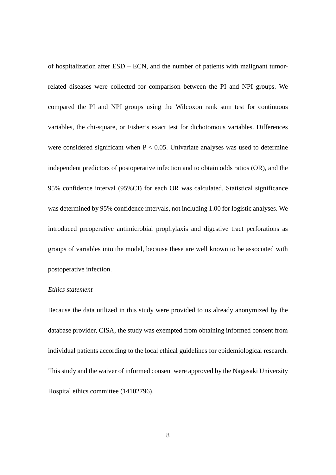of hospitalization after ESD – ECN, and the number of patients with malignant tumorrelated diseases were collected for comparison between the PI and NPI groups. We compared the PI and NPI groups using the Wilcoxon rank sum test for continuous variables, the chi-square, or Fisher's exact test for dichotomous variables. Differences were considered significant when  $P < 0.05$ . Univariate analyses was used to determine independent predictors of postoperative infection and to obtain odds ratios (OR), and the 95% confidence interval (95%CI) for each OR was calculated. Statistical significance was determined by 95% confidence intervals, not including 1.00 for logistic analyses. We introduced preoperative antimicrobial prophylaxis and digestive tract perforations as groups of variables into the model, because these are well known to be associated with postoperative infection.

## *Ethics statement*

Because the data utilized in this study were provided to us already anonymized by the database provider, CISA, the study was exempted from obtaining informed consent from individual patients according to the local ethical guidelines for epidemiological research. This study and the waiver of informed consent were approved by the Nagasaki University Hospital ethics committee (14102796).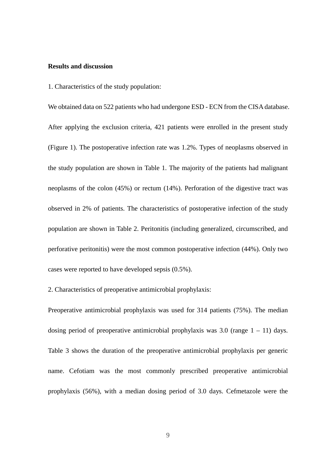# **Results and discussion**

1. Characteristics of the study population:

We obtained data on 522 patients who had undergone ESD - ECN from the CISA database. After applying the exclusion criteria, 421 patients were enrolled in the present study (Figure 1). The postoperative infection rate was 1.2%. Types of neoplasms observed in the study population are shown in Table 1. The majority of the patients had malignant neoplasms of the colon (45%) or rectum (14%). Perforation of the digestive tract was observed in 2% of patients. The characteristics of postoperative infection of the study population are shown in Table 2. Peritonitis (including generalized, circumscribed, and perforative peritonitis) were the most common postoperative infection (44%). Only two cases were reported to have developed sepsis (0.5%).

2. Characteristics of preoperative antimicrobial prophylaxis:

Preoperative antimicrobial prophylaxis was used for 314 patients (75%). The median dosing period of preoperative antimicrobial prophylaxis was  $3.0$  (range  $1 - 11$ ) days. Table 3 shows the duration of the preoperative antimicrobial prophylaxis per generic name. Cefotiam was the most commonly prescribed preoperative antimicrobial prophylaxis (56%), with a median dosing period of 3.0 days. Cefmetazole were the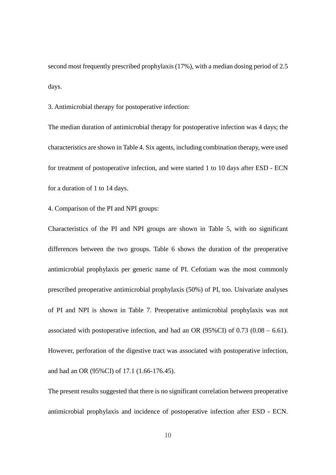second most frequently prescribed prophylaxis (17%), with a median dosing period of 2.5 days.

3. Antimicrobial therapy for postoperative infection:

The median duration of antimicrobial therapy for postoperative infection was 4 days; the characteristics are shown in Table 4. Six agents, including combination therapy, were used for treatment of postoperative infection, and were started 1 to 10 days after ESD - ECN for a duration of 1 to 14 days.

4. Comparison of the PI and NPI groups:

Characteristics of the PI and NPI groups are shown in Table 5, with no significant differences between the two groups. Table 6 shows the duration of the preoperative antimicrobial prophylaxis per generic name of PI. Cefotiam was the most commonly prescribed preoperative antimicrobial prophylaxis (50%) of PI, too. Univariate analyses of PI and NPI is shown in Table 7. Preoperative antimicrobial prophylaxis was not associated with postoperative infection, and had an OR  $(95\% \text{CI})$  of 0.73  $(0.08 - 6.61)$ . However, perforation of the digestive tract was associated with postoperative infection, and had an OR (95%CI) of 17.1 (1.66-176.45).

The present results suggested that there is no significant correlation between preoperative antimicrobial prophylaxis and incidence of postoperative infection after ESD - ECN.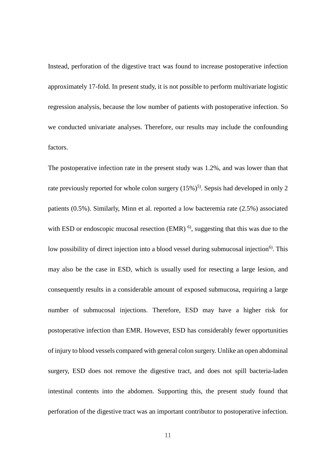Instead, perforation of the digestive tract was found to increase postoperative infection approximately 17-fold. In present study, it is not possible to perform multivariate logistic regression analysis, because the low number of patients with postoperative infection. So we conducted univariate analyses. Therefore, our results may include the confounding factors.

The postoperative infection rate in the present study was 1.2%, and was lower than that rate previously reported for whole colon surgery  $(15\%)$ <sup>5)</sup>. Sepsis had developed in only 2 patients (0.5%). Similarly, Minn et al. reported a low bacteremia rate (2.5%) associated with ESD or endoscopic mucosal resection (EMR)  $^{6}$ , suggesting that this was due to the low possibility of direct injection into a blood vessel during submucosal injection<sup>6)</sup>. This may also be the case in ESD, which is usually used for resecting a large lesion, and consequently results in a considerable amount of exposed submucosa, requiring a large number of submucosal injections. Therefore, ESD may have a higher risk for postoperative infection than EMR. However, ESD has considerably fewer opportunities of injury to blood vessels compared with general colon surgery. Unlike an open abdominal surgery, ESD does not remove the digestive tract, and does not spill bacteria-laden intestinal contents into the abdomen. Supporting this, the present study found that perforation of the digestive tract was an important contributor to postoperative infection.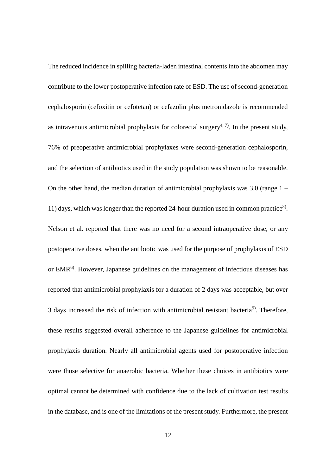The reduced incidence in spilling bacteria-laden intestinal contents into the abdomen may contribute to the lower postoperative infection rate of ESD. The use of second-generation cephalosporin (cefoxitin or cefotetan) or cefazolin plus metronidazole is recommended as intravenous antimicrobial prophylaxis for colorectal surgery<sup>4, 7)</sup>. In the present study, 76% of preoperative antimicrobial prophylaxes were second-generation cephalosporin, and the selection of antibiotics used in the study population was shown to be reasonable. On the other hand, the median duration of antimicrobial prophylaxis was 3.0 (range 1 – 11) days, which was longer than the reported 24-hour duration used in common practice<sup>8)</sup>. Nelson et al. reported that there was no need for a second intraoperative dose, or any postoperative doses, when the antibiotic was used for the purpose of prophylaxis of ESD or EMR6). However, Japanese guidelines on the management of infectious diseases has reported that antimicrobial prophylaxis for a duration of 2 days was acceptable, but over 3 days increased the risk of infection with antimicrobial resistant bacteria<sup>9</sup>. Therefore, these results suggested overall adherence to the Japanese guidelines for antimicrobial prophylaxis duration. Nearly all antimicrobial agents used for postoperative infection were those selective for anaerobic bacteria. Whether these choices in antibiotics were optimal cannot be determined with confidence due to the lack of cultivation test results in the database, and is one of the limitations of the present study. Furthermore, the present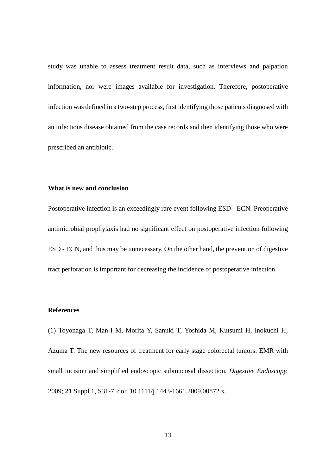study was unable to assess treatment result data, such as interviews and palpation information, nor were images available for investigation. Therefore, postoperative infection was defined in a two-step process, first identifying those patients diagnosed with an infectious disease obtained from the case records and then identifying those who were prescribed an antibiotic.

# **What is new and conclusion**

Postoperative infection is an exceedingly rare event following ESD - ECN. Preoperative antimicrobial prophylaxis had no significant effect on postoperative infection following ESD - ECN, and thus may be unnecessary. On the other hand, the prevention of digestive tract perforation is important for decreasing the incidence of postoperative infection.

### **References**

(1) Toyonaga T, Man-I M, Morita Y, Sanuki T, Yoshida M, Kutsumi H, Inokuchi H, Azuma T. The new resources of treatment for early stage colorectal tumors: EMR with small incision and simplified endoscopic submucosal dissection. *Digestive Endoscopy.* 2009; **21** Suppl 1, S31-7. doi: 10.1111/j.1443-1661.2009.00872.x.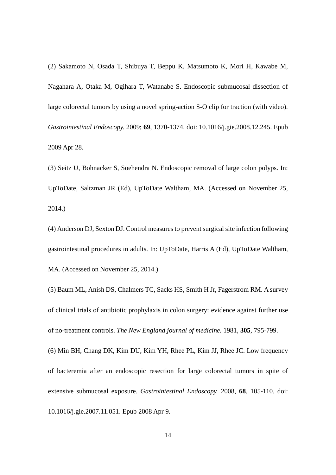(2) Sakamoto N, Osada T, Shibuya T, Beppu K, Matsumoto K, Mori H, Kawabe M, Nagahara A, Otaka M, Ogihara T, Watanabe S. Endoscopic submucosal dissection of large colorectal tumors by using a novel spring-action S-O clip for traction (with video). *Gastrointestinal Endoscopy.* 2009; **69**, 1370-1374. doi: 10.1016/j.gie.2008.12.245. Epub 2009 Apr 28.

(3) Seitz U, Bohnacker S, Soehendra N. Endoscopic removal of large colon polyps. In: UpToDate, Saltzman JR (Ed), UpToDate Waltham, MA. (Accessed on November 25, 2014.)

(4) Anderson DJ, Sexton DJ. Control measures to prevent surgical site infection following gastrointestinal procedures in adults. In: UpToDate, Harris A (Ed), UpToDate Waltham, MA. (Accessed on November 25, 2014.)

(5) Baum ML, Anish DS, Chalmers TC, Sacks HS, Smith H Jr, Fagerstrom RM. A survey of clinical trials of antibiotic prophylaxis in colon surgery: evidence against further use of no-treatment controls. *The New England journal of medicine.* 1981, **305**, 795-799.

(6) Min BH, Chang DK, Kim DU, Kim YH, Rhee PL, Kim JJ, Rhee JC. Low frequency of bacteremia after an endoscopic resection for large colorectal tumors in spite of extensive submucosal exposure. *Gastrointestinal Endoscopy.* 2008, **68**, 105-110. doi: 10.1016/j.gie.2007.11.051. Epub 2008 Apr 9.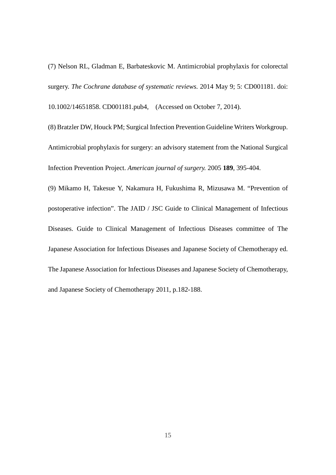(7) Nelson RL, Gladman E, Barbateskovic M. Antimicrobial prophylaxis for colorectal surgery. *The Cochrane database of systematic reviews.* 2014 May 9; 5: CD001181. doi:

10.1002/14651858. CD001181.pub4, (Accessed on October 7, 2014).

(8) Bratzler DW, Houck PM; Surgical Infection Prevention Guideline Writers Workgroup. Antimicrobial prophylaxis for surgery: an advisory statement from the National Surgical Infection Prevention Project. *American journal of surgery.* 2005 **189**, 395-404.

(9) Mikamo H, Takesue Y, Nakamura H, Fukushima R, Mizusawa M. "Prevention of postoperative infection". The JAID / JSC Guide to Clinical Management of Infectious Diseases. Guide to Clinical Management of Infectious Diseases committee of The Japanese Association for Infectious Diseases and Japanese Society of Chemotherapy ed. The Japanese Association for Infectious Diseases and Japanese Society of Chemotherapy, and Japanese Society of Chemotherapy 2011, p.182-188.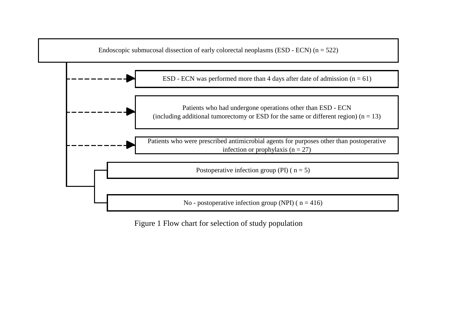

Figure 1 Flow chart for selection of study population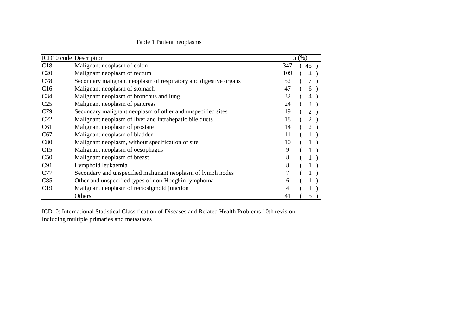# Table 1 Patient neoplasms

|                 | ICD10 code Description                                           |        | $n$ (%)        |
|-----------------|------------------------------------------------------------------|--------|----------------|
| C18             | Malignant neoplasm of colon                                      | 347    | 45)            |
| C <sub>20</sub> | Malignant neoplasm of rectum                                     | 109    | 14             |
| C78             | Secondary malignant neoplasm of respiratory and digestive organs | 52     | 7              |
| C16             | Malignant neoplasm of stomach                                    | 47     | 6              |
| C <sub>34</sub> | Malignant neoplasm of bronchus and lung                          | 32     | 4              |
| C <sub>25</sub> | Malignant neoplasm of pancreas                                   | 24     | 3              |
| C <sub>79</sub> | Secondary malignant neoplasm of other and unspecified sites      | 19     | 2)             |
| C <sub>22</sub> | Malignant neoplasm of liver and intrahepatic bile ducts          | 18     | $\overline{2}$ |
| C61             | Malignant neoplasm of prostate                                   | 14     | 2)             |
| C67             | Malignant neoplasm of bladder                                    | 11     |                |
| C80             | Malignant neoplasm, without specification of site                | 10     |                |
| C15             | Malignant neoplasm of oesophagus                                 | 9      |                |
| C50             | Malignant neoplasm of breast                                     | 8      |                |
| C91             | Lymphoid leukaemia                                               | 8      |                |
| C77             | Secondary and unspecified malignant neoplasm of lymph nodes      | $\tau$ |                |
| C85             | Other and unspecified types of non-Hodgkin lymphoma              | 6      |                |
| C19             | Malignant neoplasm of rectosigmoid junction                      | 4      |                |
|                 | Others                                                           | 41     | 5)             |

ICD10: International Statistical Classification of Diseases and Related Health Problems 10th revision Including multiple primaries and metastases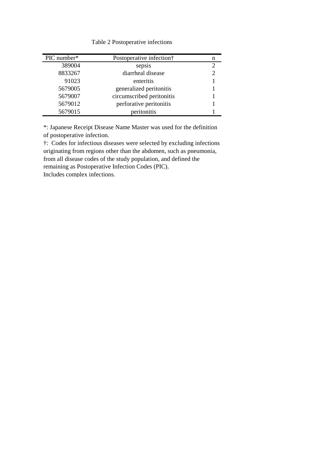Table 2 Postoperative infections

| PIC number* | Postoperative infection†  | n                           |
|-------------|---------------------------|-----------------------------|
| 389004      | sepsis                    | $\mathcal{D}_{\cdot}$       |
| 8833267     | diarrheal disease         | $\mathcal{D}_{\mathcal{A}}$ |
| 91023       | enteritis                 |                             |
| 5679005     | generalized peritonitis   |                             |
| 5679007     | circumscribed peritonitis |                             |
| 5679012     | perforative peritonitis   |                             |
| 5679015     | peritonitis               |                             |

\*: Japanese Receipt Disease Name Master was used for the definition of postoperative infection.

†: Codes for infectious diseases were selected by excluding infections originating from regions other than the abdomen, such as pneumonia, from all disease codes of the study population, and defined the remaining as Postoperative Infection Codes (PIC).

Includes complex infections.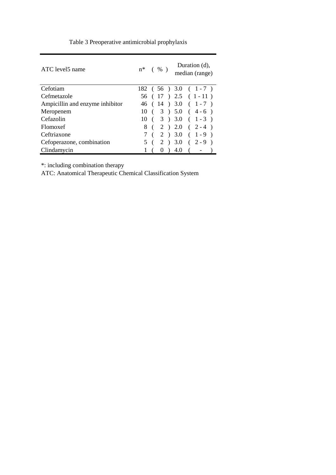| ATC level5 name                 | $n^*$ (%) |     |          |     | Duration $(d)$ ,<br>median (range) |
|---------------------------------|-----------|-----|----------|-----|------------------------------------|
| Cefotiam                        |           |     |          |     | $182$ (56) 3.0 (1-7)               |
| Cefmetazole                     |           |     |          |     | $56$ ( 17 ) 2.5 ( 1 - 11 )         |
| Ampicillin and enzyme inhibitor |           |     |          |     | $46$ ( $14$ ) $3.0$ ( $1-7$ )      |
| Meropenem                       |           |     |          |     | $10 \t(3) 5.0 (4-6)$               |
| Cefazolin                       |           |     |          |     | $10 \t(3) 3.0 (1-3)$               |
| Flomoxef                        |           |     |          |     | $8(2) 2.0 (2-4)$                   |
| Ceftriaxone                     |           |     |          |     | $7(2)3.0(1-9)$                     |
| Cefoperazone, combination       |           | 5 ( |          |     | $2$ ) 3.0 ( 2 - 9 )                |
| Clindamycin                     |           |     | $\theta$ | 4.0 |                                    |

Table 3 Preoperative antimicrobial prophylaxis

\*: including combination therapy

ATC: Anatomical Therapeutic Chemical Classification System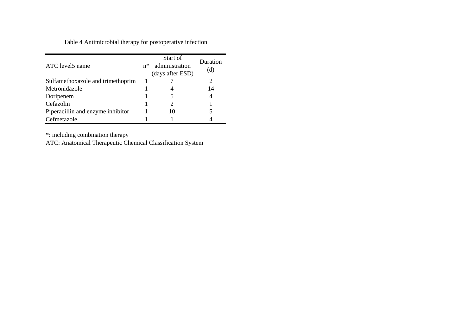Table 4 Antimicrobial therapy for postoperative infection

| ATC level5 name                   |  | Start of<br>administration<br>$n^*$<br>(days after ESD) | Duration<br>(d) |  |
|-----------------------------------|--|---------------------------------------------------------|-----------------|--|
| Sulfamethoxazole and trimethoprim |  |                                                         |                 |  |
| Metronidazole                     |  |                                                         | 14              |  |
| Doripenem                         |  |                                                         |                 |  |
| Cefazolin                         |  |                                                         |                 |  |
| Piperacillin and enzyme inhibitor |  | 10                                                      |                 |  |
| Cefmetazole                       |  |                                                         |                 |  |

\*: including combination therapy

ATC: Anatomical Therapeutic Chemical Classification System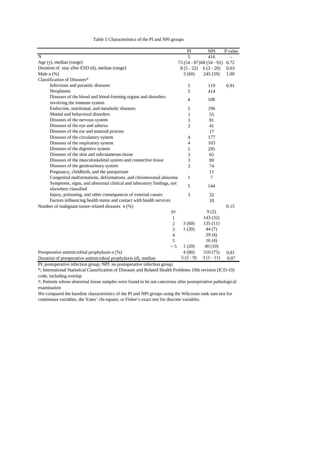|                                                                     | PI                        | <b>NPI</b>     | P value |
|---------------------------------------------------------------------|---------------------------|----------------|---------|
| N                                                                   | $\overline{5}$            | 416            |         |
| Age (y), median (range)                                             | 73 (54 - 87) 68 (54 - 92) |                | 0.72    |
| Duration of stay after ESD (d), median (range)                      | $8(5-22)$                 | $6(3-20)$      | 0.03    |
| Male $n$ (%)                                                        | 3(60)                     | 245 (59)       | 1.00    |
| Classification of Diseases*                                         |                           |                |         |
| Infectious and parasitic diseases                                   | 5                         | 119            | 0.91    |
| Neoplasms                                                           | 5                         | 414            |         |
| Diseases of the blood and blood-forming organs and disorders        | $\overline{\mathcal{L}}$  | 108            |         |
| involving the immune system                                         |                           |                |         |
| Endocrine, nutritional, and metabolic diseases                      | 5                         | 196            |         |
| Mental and behavioral disorders                                     | 1                         | 55             |         |
| Diseases of the nervous system                                      | 3                         | 81             |         |
| Diseases of the eye and adnexa                                      | $\overline{2}$            | 41             |         |
| Diseases of the ear and mastoid process                             |                           | 17             |         |
| Diseases of the circulatory system                                  | $\overline{4}$            | 177            |         |
| Diseases of the respiratory system                                  | $\overline{4}$            | 103            |         |
| Diseases of the digestive system                                    | 5                         | 295            |         |
| Diseases of the skin and subcutaneous tissue                        | 3                         | 65             |         |
| Diseases of the musculoskeletal system and connective tissue        | 3                         | 99             |         |
| Diseases of the genitourinary system                                | 3                         | 74             |         |
| Pregnancy, childbirth, and the puerperium                           |                           | 11             |         |
| Congenital malformations, deformations, and chromosomal abnorma     | 1                         | $\overline{7}$ |         |
| Symptoms, signs, and abnormal clinical and laboratory findings, not |                           |                |         |
| elsewhere classified                                                | 5                         | 144            |         |
| Injury, poisoning, and other consequences of external causes        | 3                         | 32             |         |
| Factors influencing health status and contact with health services  |                           | 18             |         |
| Number of malignant tumor-related diseases n (%)                    |                           |                | 0.15    |
| 0 <sup>†</sup>                                                      |                           | 9(2)           |         |
| $\mathbf{1}$                                                        |                           | 143 (32)       |         |
| $\overline{2}$                                                      | 3(60)                     | 135(11)        |         |
| 3                                                                   | 1(20)                     | 44 (7)         |         |
| $\overline{4}$                                                      |                           | 29(4)          |         |
| 5                                                                   |                           | 16(4)          |         |
| > 5                                                                 | 1(20)                     | 40(10)         |         |
| Preoperative antimicrobial prophylaxis n (%)                        | 4(80)                     | 310(75)        | 0.81    |
| Duration of preoperative antimicrobial prophylaxis (d), median      | $5(2-9)$                  | $3(1-11)$      | 0.07    |

Table 5 Characteristics of the PI and NPI groups

PI: postoperative infection group; NPI: no postoperative infection group;

\*; International Statistical Classification of Diseases and Related Health Problems 10th revision (ICD-10) code, including overlap

†; Patients whose abnormal tissue samples were found to be not cancerous after postoperative pathological examination

We compared the baseline characteristics of the PI and NPI groups using the Wilcoxon rank sum test for continuous variables, the Yates' chi-square, or Fisher's exact test for discrete variables.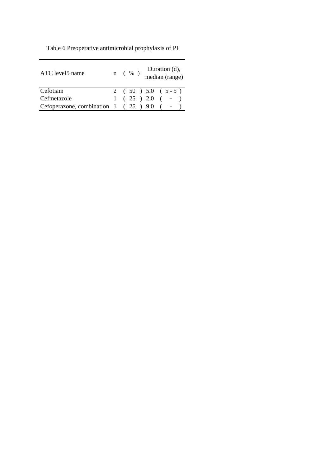| ATC level5 name                                     | Duration (d),<br>median (range)<br>$n \left( \begin{array}{c} \infty \\ \infty \end{array} \right)$ |
|-----------------------------------------------------|-----------------------------------------------------------------------------------------------------|
| Cefotiam                                            | 2 ( $50$ ) $5.0$ ( $5-5$ )                                                                          |
| Cefmetazole                                         | $1(25)2.0(-7)$                                                                                      |
| Cefoperazone, combination $1 \left( 25 \right)$ 9.0 |                                                                                                     |